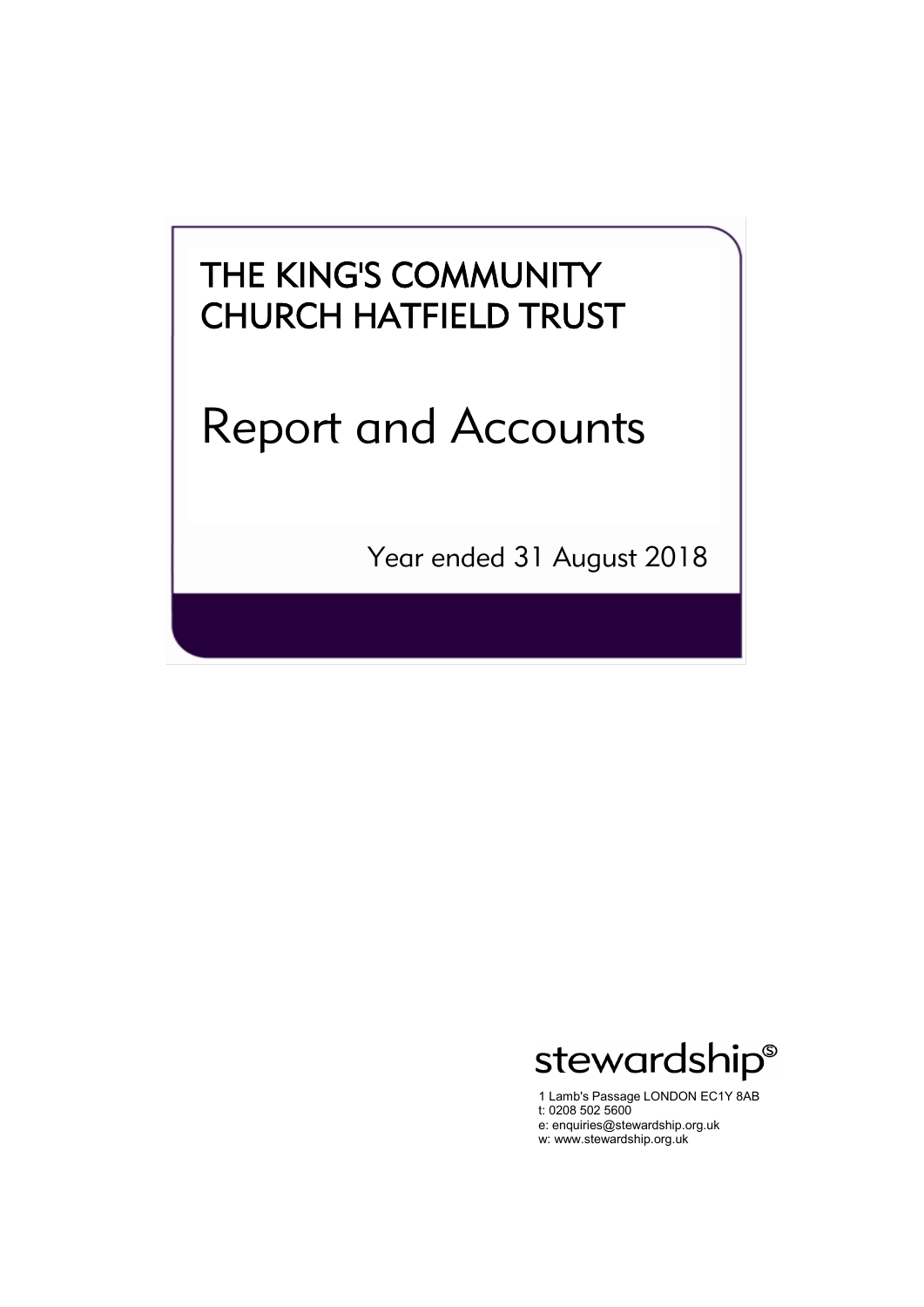# Report and Accounts

Year ended 31 August 2018



1 Lamb's Passage LONDON EC1Y 8AB t: 0208 502 5600 e: enquiries@stewardship.org.uk w: www.stewardship.org.uk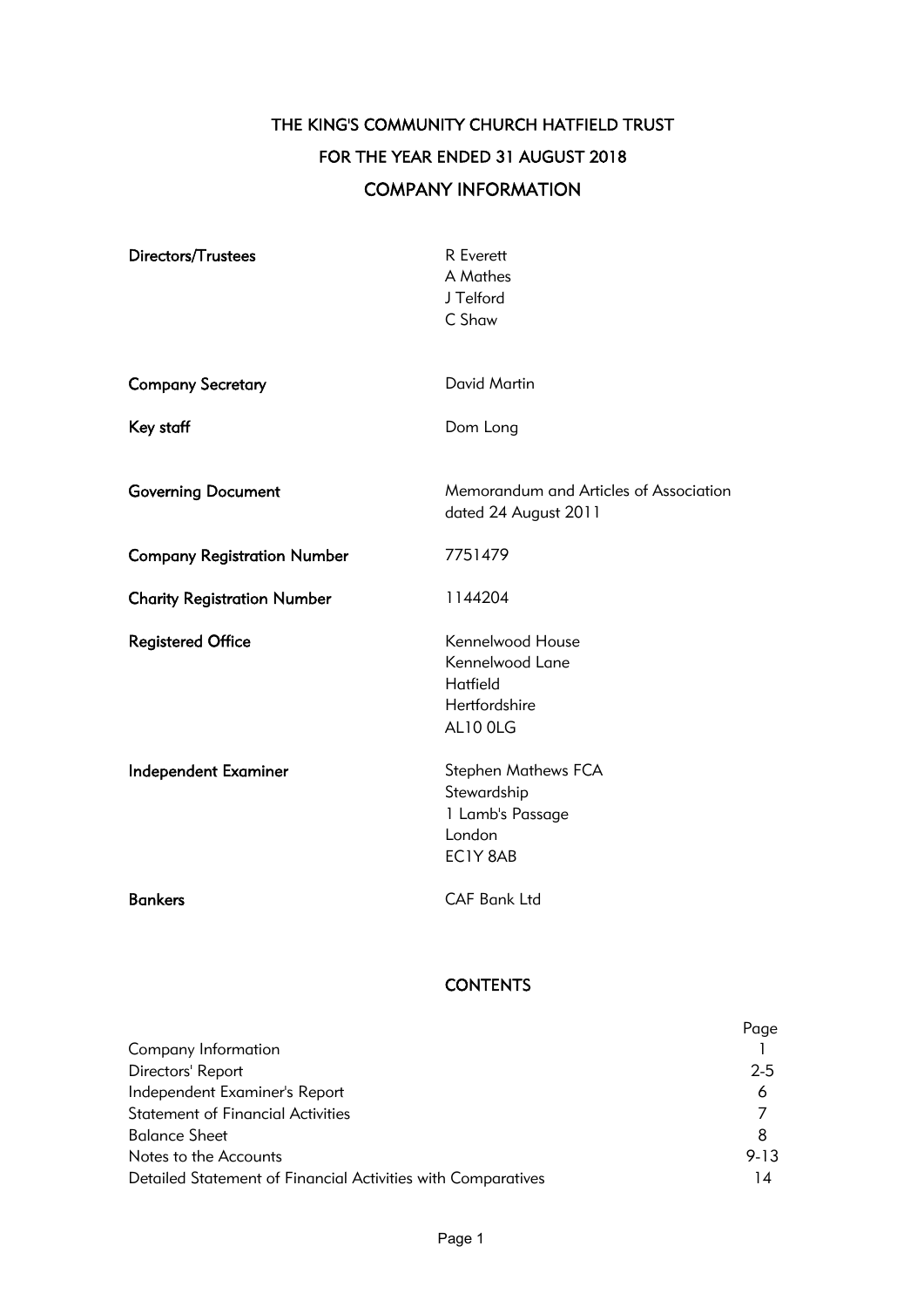## THE KING'S COMMUNITY CHURCH HATFIELD TRUST FOR THE YEAR ENDED 31 AUGUST 2018 COMPANY INFORMATION

| Directors/Trustees                 | R Everett<br>A Mathes<br>J Telford<br>C Shaw                                 |
|------------------------------------|------------------------------------------------------------------------------|
| <b>Company Secretary</b>           | David Martin                                                                 |
| Key staff                          | Dom Long                                                                     |
| <b>Governing Document</b>          | Memorandum and Articles of Association<br>dated 24 August 2011               |
| <b>Company Registration Number</b> | 7751479                                                                      |
| <b>Charity Registration Number</b> | 1144204                                                                      |
| <b>Registered Office</b>           | Kennelwood House<br>Kennelwood Lane<br>Hatfield<br>Hertfordshire<br>AL10 OLG |
| <b>Independent Examiner</b>        | Stephen Mathews FCA<br>Stewardship<br>1 Lamb's Passage<br>London<br>EC1Y 8AB |
| <b>Bankers</b>                     | <b>CAF Bank Ltd</b>                                                          |

## **CONTENTS**

|                                                              | Page     |
|--------------------------------------------------------------|----------|
| Company Information                                          |          |
| Directors' Report                                            | $2 - 5$  |
| Independent Examiner's Report                                | 6        |
| <b>Statement of Financial Activities</b>                     |          |
| <b>Balance Sheet</b>                                         | 8        |
| Notes to the Accounts                                        | $9 - 13$ |
| Detailed Statement of Financial Activities with Comparatives | 14       |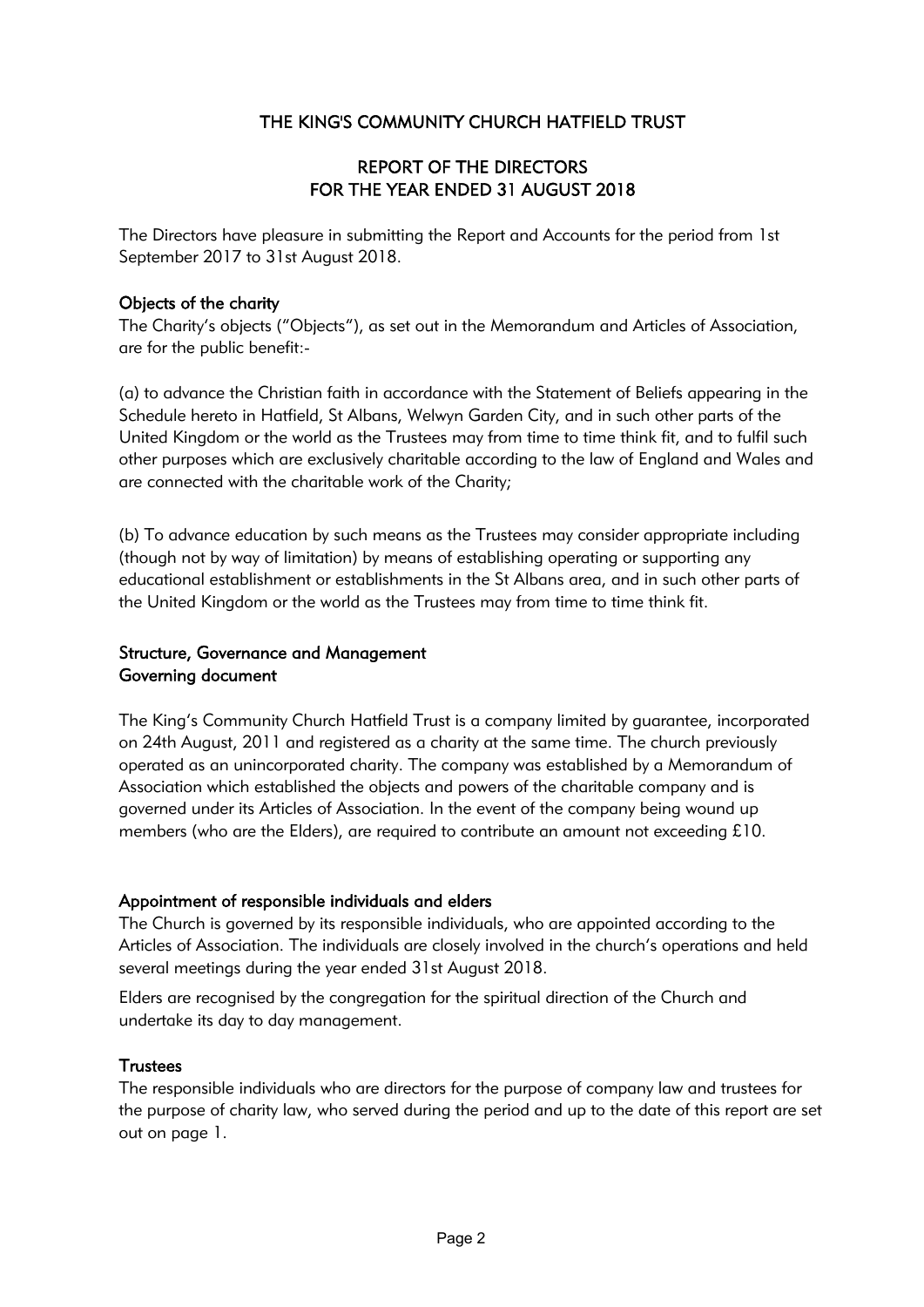## REPORT OF THE DIRECTORS FOR THE YEAR ENDED 31 AUGUST 2018

The Directors have pleasure in submitting the Report and Accounts for the period from 1st September 2017 to 31st August 2018.

## Objects of the charity

The Charity's objects ("Objects"), as set out in the Memorandum and Articles of Association, are for the public benefit:-

(a) to advance the Christian faith in accordance with the Statement of Beliefs appearing in the Schedule hereto in Hatfield, St Albans, Welwyn Garden City, and in such other parts of the United Kingdom or the world as the Trustees may from time to time think fit, and to fulfil such other purposes which are exclusively charitable according to the law of England and Wales and are connected with the charitable work of the Charity;

(b) To advance education by such means as the Trustees may consider appropriate including (though not by way of limitation) by means of establishing operating or supporting any educational establishment or establishments in the St Albans area, and in such other parts of the United Kingdom or the world as the Trustees may from time to time think fit.

## Structure, Governance and Management Governing document

The King's Community Church Hatfield Trust is a company limited by guarantee, incorporated on 24th August, 2011 and registered as a charity at the same time. The church previously operated as an unincorporated charity. The company was established by a Memorandum of Association which established the objects and powers of the charitable company and is governed under its Articles of Association. In the event of the company being wound up members (who are the Elders), are required to contribute an amount not exceeding £10.

## Appointment of responsible individuals and elders

The Church is governed by its responsible individuals, who are appointed according to the Articles of Association. The individuals are closely involved in the church's operations and held several meetings during the year ended 31st August 2018.

Elders are recognised by the congregation for the spiritual direction of the Church and undertake its day to day management.

## **Trustees**

The responsible individuals who are directors for the purpose of company law and trustees for the purpose of charity law, who served during the period and up to the date of this report are set out on page 1.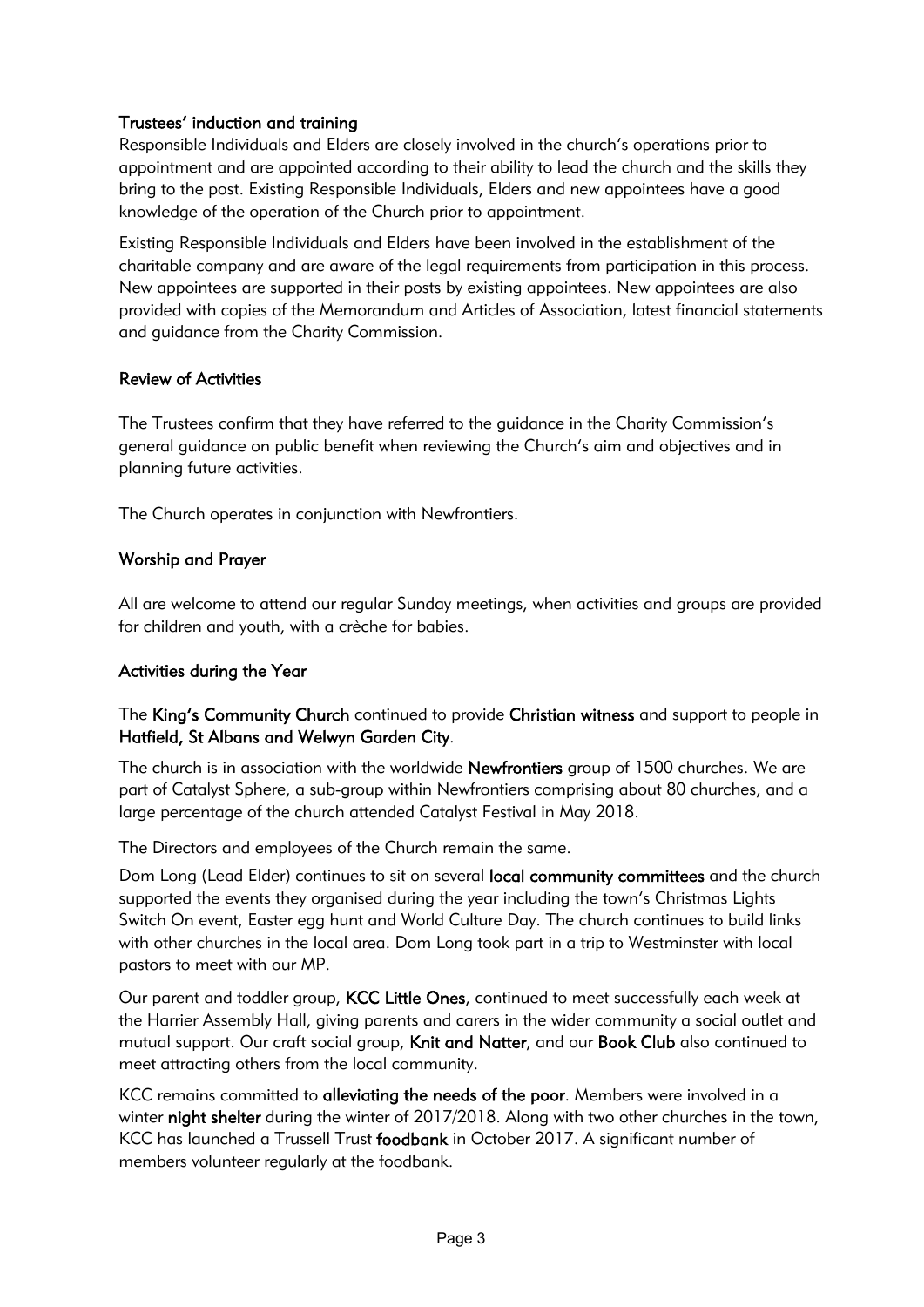## Trustees' induction and training

Responsible Individuals and Elders are closely involved in the church's operations prior to appointment and are appointed according to their ability to lead the church and the skills they bring to the post. Existing Responsible Individuals, Elders and new appointees have a good knowledge of the operation of the Church prior to appointment.

Existing Responsible Individuals and Elders have been involved in the establishment of the charitable company and are aware of the legal requirements from participation in this process. New appointees are supported in their posts by existing appointees. New appointees are also provided with copies of the Memorandum and Articles of Association, latest financial statements and guidance from the Charity Commission.

## Review of Activities

The Trustees confirm that they have referred to the guidance in the Charity Commission's general guidance on public benefit when reviewing the Church's aim and objectives and in planning future activities.

The Church operates in conjunction with Newfrontiers.

## Worship and Prayer

All are welcome to attend our regular Sunday meetings, when activities and groups are provided for children and youth, with a crèche for babies.

## Activities during the Year

The King's Community Church continued to provide Christian witness and support to people in Hatfield, St Albans and Welwyn Garden City.

The church is in association with the worldwide Newfrontiers group of 1500 churches. We are part of Catalyst Sphere, a sub-group within Newfrontiers comprising about 80 churches, and a large percentage of the church attended Catalyst Festival in May 2018.

The Directors and employees of the Church remain the same.

Dom Long (Lead Elder) continues to sit on several local community committees and the church supported the events they organised during the year including the town's Christmas Lights Switch On event, Easter egg hunt and World Culture Day. The church continues to build links with other churches in the local area. Dom Long took part in a trip to Westminster with local pastors to meet with our MP.

Our parent and toddler group, KCC Little Ones, continued to meet successfully each week at the Harrier Assembly Hall, giving parents and carers in the wider community a social outlet and mutual support. Our craft social group, Knit and Natter, and our Book Club also continued to meet attracting others from the local community.

KCC remains committed to alleviating the needs of the poor. Members were involved in a winter night shelter during the winter of 2017/2018. Along with two other churches in the town, KCC has launched a Trussell Trust foodbank in October 2017. A significant number of members volunteer regularly at the foodbank.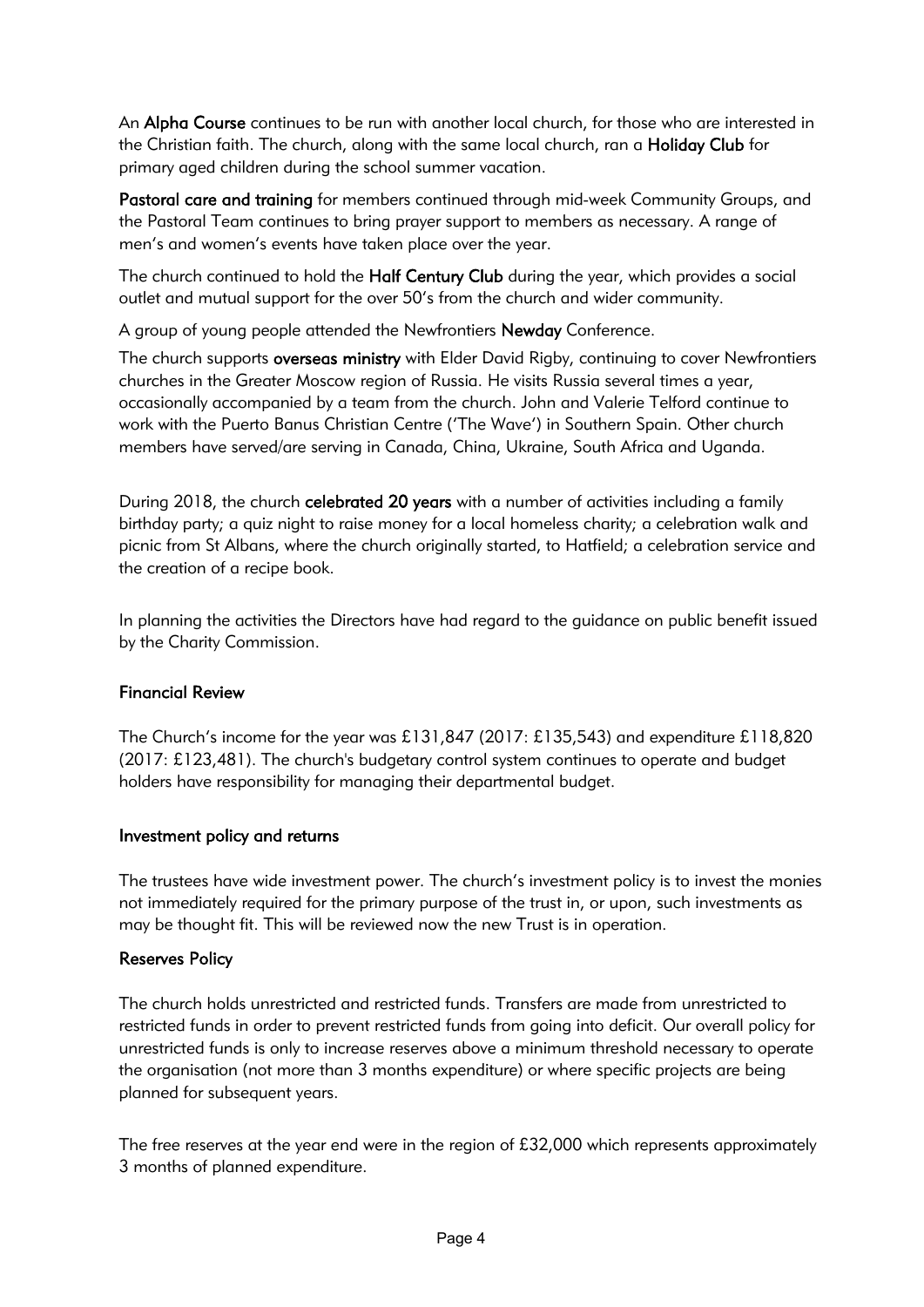An Alpha Course continues to be run with another local church, for those who are interested in the Christian faith. The church, along with the same local church, ran a Holiday Club for primary aged children during the school summer vacation.

Pastoral care and training for members continued through mid-week Community Groups, and the Pastoral Team continues to bring prayer support to members as necessary. A range of men's and women's events have taken place over the year.

The church continued to hold the **Half Century Club** during the year, which provides a social outlet and mutual support for the over 50's from the church and wider community.

A group of young people attended the Newfrontiers Newday Conference.

The church supports overseas ministry with Elder David Rigby, continuing to cover Newfrontiers churches in the Greater Moscow region of Russia. He visits Russia several times a year, occasionally accompanied by a team from the church. John and Valerie Telford continue to work with the Puerto Banus Christian Centre ('The Wave') in Southern Spain. Other church members have served/are serving in Canada, China, Ukraine, South Africa and Uganda.

During 2018, the church celebrated 20 years with a number of activities including a family birthday party; a quiz night to raise money for a local homeless charity; a celebration walk and picnic from St Albans, where the church originally started, to Hatfield; a celebration service and the creation of a recipe book.

In planning the activities the Directors have had regard to the guidance on public benefit issued by the Charity Commission.

## Financial Review

The Church's income for the year was £131,847 (2017: £135,543) and expenditure £118,820  $(2017: \text{£}123,481)$ . The church's budgetary control system continues to operate and budget holders have responsibility for managing their departmental budget.

## Investment policy and returns

The trustees have wide investment power. The church's investment policy is to invest the monies not immediately required for the primary purpose of the trust in, or upon, such investments as may be thought fit. This will be reviewed now the new Trust is in operation.

## Reserves Policy

The church holds unrestricted and restricted funds. Transfers are made from unrestricted to restricted funds in order to prevent restricted funds from going into deficit. Our overall policy for unrestricted funds is only to increase reserves above a minimum threshold necessary to operate the organisation (not more than 3 months expenditure) or where specific projects are being planned for subsequent years.

The free reserves at the year end were in the region of £32,000 which represents approximately 3 months of planned expenditure.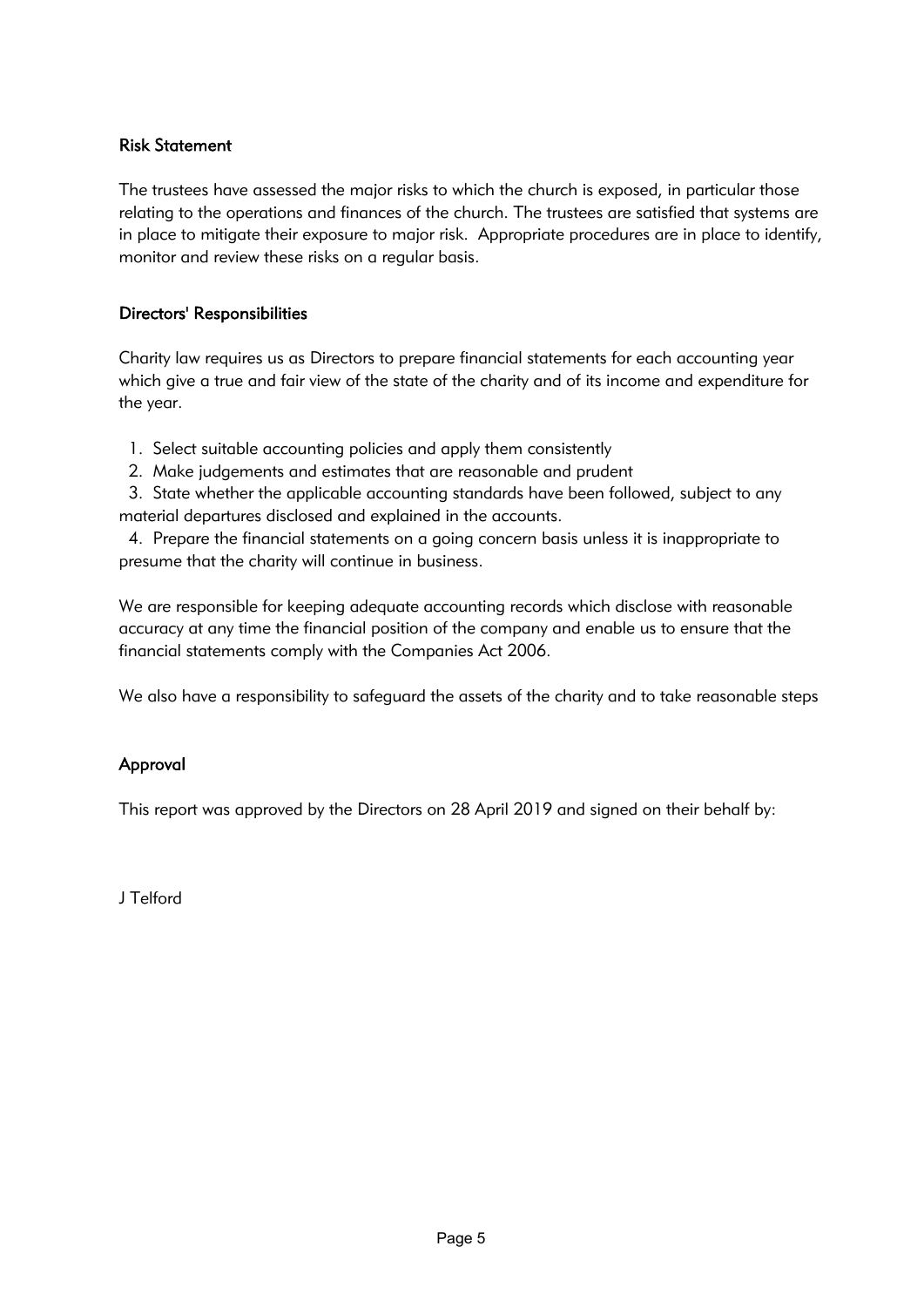## Risk Statement

The trustees have assessed the major risks to which the church is exposed, in particular those relating to the operations and finances of the church. The trustees are satisfied that systems are in place to mitigate their exposure to major risk. Appropriate procedures are in place to identify, monitor and review these risks on a regular basis.

## Directors' Responsibilities

Charity law requires us as Directors to prepare financial statements for each accounting year which give a true and fair view of the state of the charity and of its income and expenditure for the year.

- 1. Select suitable accounting policies and apply them consistently
- 2. Make judgements and estimates that are reasonable and prudent
- 3. State whether the applicable accounting standards have been followed, subject to any material departures disclosed and explained in the accounts.

 4. Prepare the financial statements on a going concern basis unless it is inappropriate to presume that the charity will continue in business.

We are responsible for keeping adequate accounting records which disclose with reasonable accuracy at any time the financial position of the company and enable us to ensure that the financial statements comply with the Companies Act 2006.

We also have a responsibility to safeguard the assets of the charity and to take reasonable steps

## Approval

This report was approved by the Directors on 28 April 2019 and signed on their behalf by:

J Telford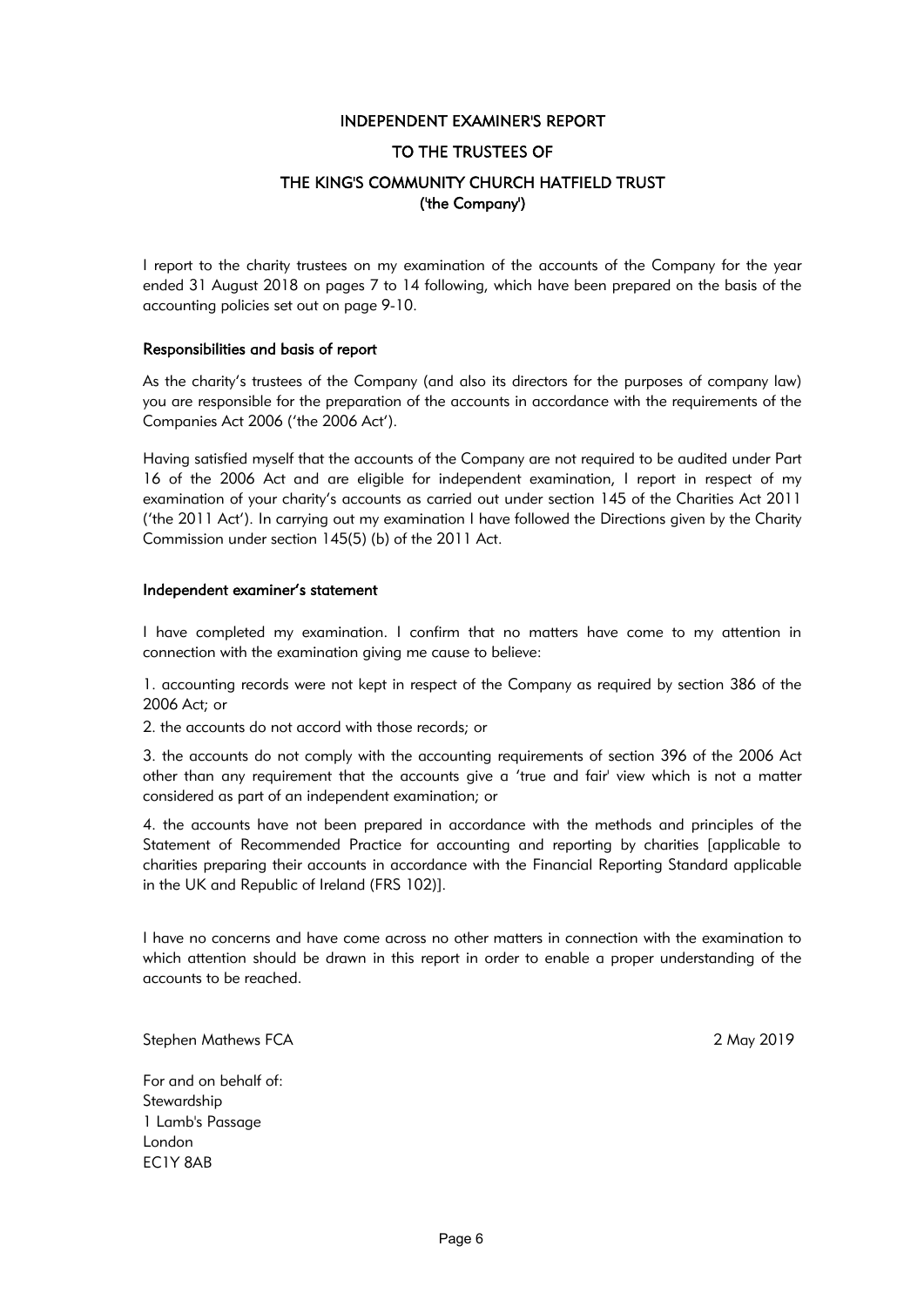#### INDEPENDENT EXAMINER'S REPORT

#### TO THE TRUSTEES OF

## THE KING'S COMMUNITY CHURCH HATFIELD TRUST ('the Company')

I report to the charity trustees on my examination of the accounts of the Company for the year ended 31 August 2018 on pages 7 to 14 following, which have been prepared on the basis of the accounting policies set out on page 9-10.

#### Responsibilities and basis of report

As the charity's trustees of the Company (and also its directors for the purposes of company law) you are responsible for the preparation of the accounts in accordance with the requirements of the Companies Act 2006 ('the 2006 Act').

Having satisfied myself that the accounts of the Company are not required to be audited under Part 16 of the 2006 Act and are eligible for independent examination, I report in respect of my examination of your charity's accounts as carried out under section 145 of the Charities Act 2011 ('the 2011 Act'). In carrying out my examination I have followed the Directions given by the Charity Commission under section 145(5) (b) of the 2011 Act.

#### Independent examiner's statement

I have completed my examination. I confirm that no matters have come to my attention in connection with the examination giving me cause to believe:

1. accounting records were not kept in respect of the Company as required by section 386 of the 2006 Act; or

2. the accounts do not accord with those records; or

3. the accounts do not comply with the accounting requirements of section 396 of the 2006 Act other than any requirement that the accounts give a 'true and fair' view which is not a matter considered as part of an independent examination; or

4. the accounts have not been prepared in accordance with the methods and principles of the Statement of Recommended Practice for accounting and reporting by charities [applicable to charities preparing their accounts in accordance with the Financial Reporting Standard applicable in the UK and Republic of Ireland (FRS 102)].

I have no concerns and have come across no other matters in connection with the examination to which attention should be drawn in this report in order to enable a proper understanding of the accounts to be reached.

Stephen Mathews FCA 2 May 2019

For and on behalf of: **Stewardship** 1 Lamb's Passage London EC1Y 8AB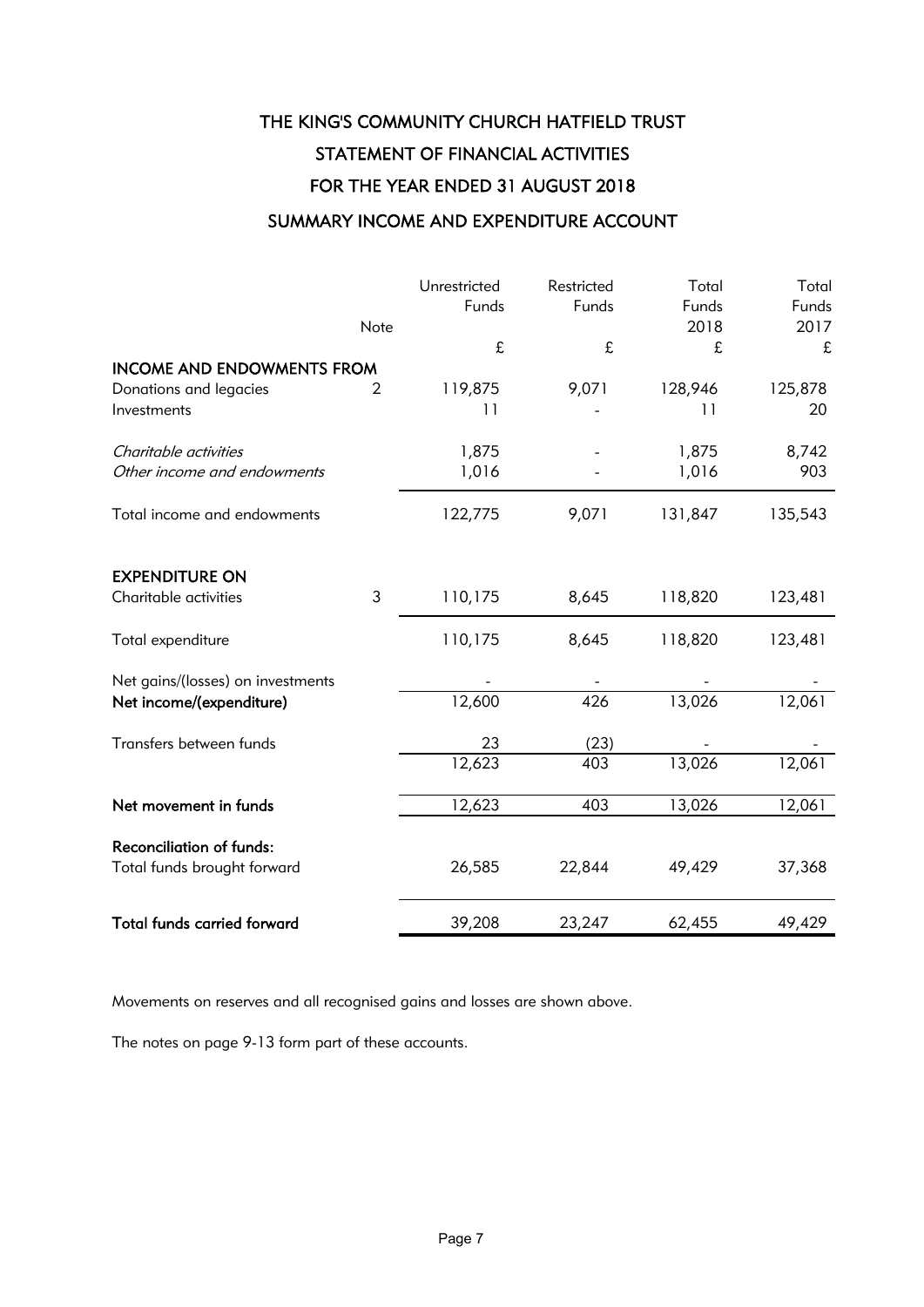# THE KING'S COMMUNITY CHURCH HATFIELD TRUST STATEMENT OF FINANCIAL ACTIVITIES FOR THE YEAR ENDED 31 AUGUST 2018

## SUMMARY INCOME AND EXPENDITURE ACCOUNT

|                                       | Note           | Unrestricted<br>Funds     | Restricted<br>Funds | Total<br>Funds<br>2018 | Total<br>Funds<br>2017 |
|---------------------------------------|----------------|---------------------------|---------------------|------------------------|------------------------|
|                                       |                | £                         | £                   | £                      | £                      |
| <b>INCOME AND ENDOWMENTS FROM</b>     |                |                           |                     |                        |                        |
| Donations and legacies<br>Investments | $\overline{2}$ | 119,875<br>$\overline{1}$ | 9,071               | 128,946<br>11          | 125,878<br>20          |
| Charitable activities                 |                | 1,875                     |                     | 1,875                  | 8,742                  |
| Other income and endowments           |                | 1,016                     |                     | 1,016                  | 903                    |
| Total income and endowments           |                | 122,775                   | 9,071               | 131,847                | 135,543                |
| <b>EXPENDITURE ON</b>                 |                |                           |                     |                        |                        |
| Charitable activities                 | $\mathfrak{Z}$ | 110,175                   | 8,645               | 118,820                | 123,481                |
| Total expenditure                     |                | 110,175                   | 8,645               | 118,820                | 123,481                |
| Net gains/(losses) on investments     |                |                           |                     |                        |                        |
| Net income/(expenditure)              |                | 12,600                    | 426                 | 13,026                 | 12,061                 |
| Transfers between funds               |                | 23                        | (23)                |                        |                        |
|                                       |                | 12,623                    | 403                 | 13,026                 | 12,061                 |
| Net movement in funds                 |                | 12,623                    | 403                 | 13,026                 | $12,06$ <sup>1</sup>   |
| <b>Reconciliation of funds:</b>       |                |                           |                     |                        |                        |
| Total funds brought forward           |                | 26,585                    | 22,844              | 49,429                 | 37,368                 |
| <b>Total funds carried forward</b>    |                | 39,208                    | 23,247              | 62,455                 | 49,429                 |

Movements on reserves and all recognised gains and losses are shown above.

The notes on page 9-13 form part of these accounts.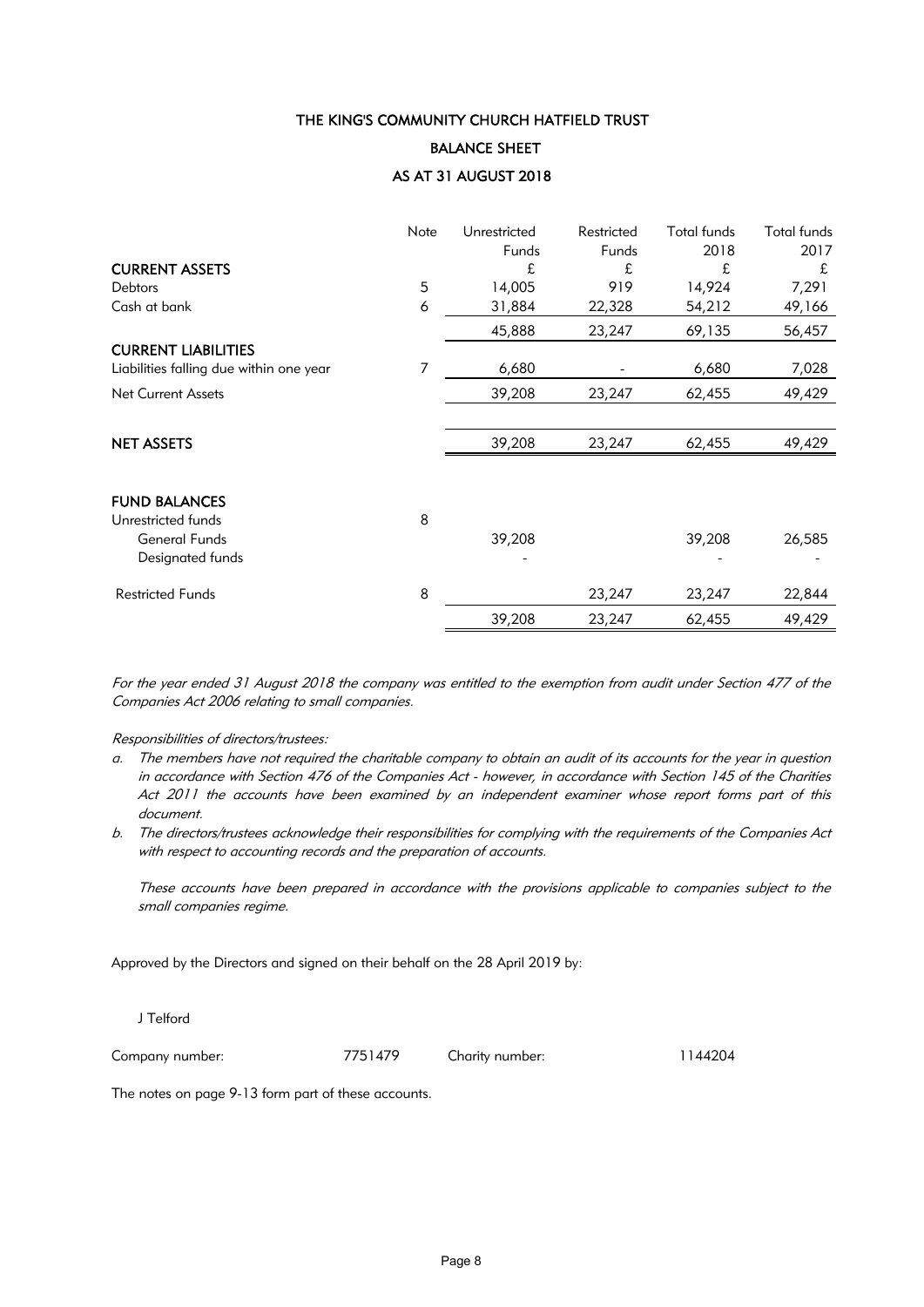#### BALANCE SHEET

#### AS AT 31 AUGUST 2018

|                                         | Note | Unrestricted | Restricted | Total funds | <b>Total funds</b> |
|-----------------------------------------|------|--------------|------------|-------------|--------------------|
|                                         |      | Funds        | Funds      | 2018        | 2017               |
| <b>CURRENT ASSETS</b>                   |      | £            | £          | £           | £                  |
| <b>Debtors</b>                          | 5    | 14,005       | 919        | 14,924      | 7,291              |
| Cash at bank                            | 6    | 31,884       | 22,328     | 54,212      | 49,166             |
|                                         |      | 45,888       | 23,247     | 69,135      | 56,457             |
| <b>CURRENT LIABILITIES</b>              |      |              |            |             |                    |
| Liabilities falling due within one year | 7    | 6,680        |            | 6,680       | 7,028              |
| <b>Net Current Assets</b>               |      | 39,208       | 23,247     | 62,455      | 49,429             |
|                                         |      |              |            |             |                    |
| <b>NET ASSETS</b>                       |      | 39,208       | 23,247     | 62,455      | 49,429             |
|                                         |      |              |            |             |                    |
| <b>FUND BALANCES</b>                    |      |              |            |             |                    |
| Unrestricted funds                      | 8    |              |            |             |                    |
| General Funds                           |      | 39,208       |            | 39,208      | 26,585             |
| Designated funds                        |      |              |            |             |                    |
| <b>Restricted Funds</b>                 | 8    |              | 23,247     | 23,247      | 22,844             |
|                                         |      | 39,208       | 23,247     | 62,455      | 49,429             |

For the year ended 31 August 2018 the company was entitled to the exemption from audit under Section 477 of the Companies Act 2006 relating to small companies.

#### Responsibilities of directors/trustees:

- a. The members have not required the charitable company to obtain an audit of its accounts for the year in question in accordance with Section 476 of the Companies Act - however, in accordance with Section 145 of the Charities Act 2011 the accounts have been examined by an independent examiner whose report forms part of this document.
- b. The directors/trustees acknowledge their responsibilities for complying with the requirements of the Companies Act with respect to accounting records and the preparation of accounts.

These accounts have been prepared in accordance with the provisions applicable to companies subject to the small companies regime.

Approved by the Directors and signed on their behalf on the 28 April 2019 by:

J Telford

Company number: 7751479 Charity number: 1144204

The notes on page 9-13 form part of these accounts.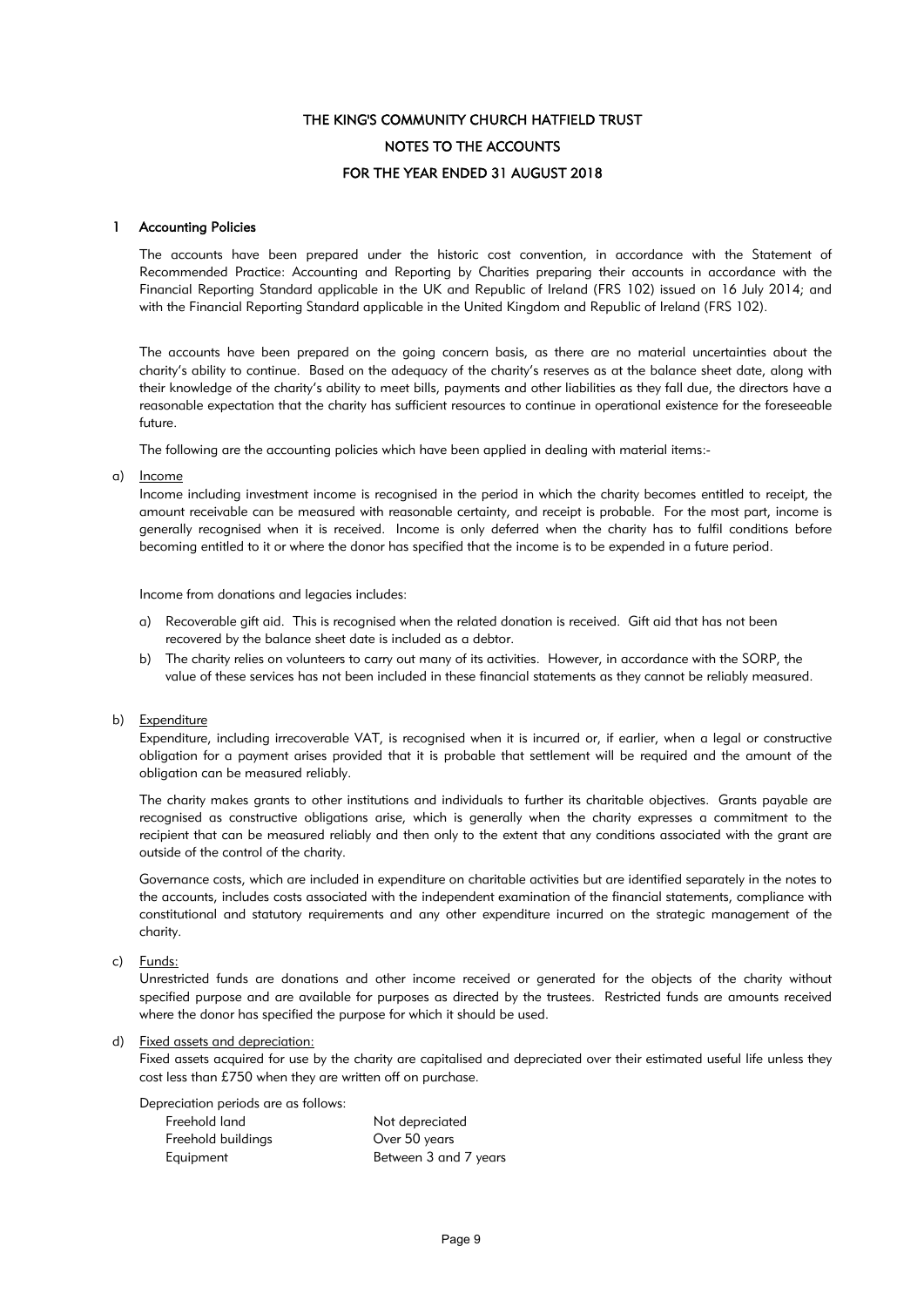## THE KING'S COMMUNITY CHURCH HATFIELD TRUST FOR THE YEAR ENDED 31 AUGUST 2018 NOTES TO THE ACCOUNTS

#### 1 Accounting Policies

The accounts have been prepared under the historic cost convention, in accordance with the Statement of Recommended Practice: Accounting and Reporting by Charities preparing their accounts in accordance with the Financial Reporting Standard applicable in the UK and Republic of Ireland (FRS 102) issued on 16 July 2014; and with the Financial Reporting Standard applicable in the United Kingdom and Republic of Ireland (FRS 102).

The accounts have been prepared on the going concern basis, as there are no material uncertainties about the charity's ability to continue. Based on the adequacy of the charity's reserves as at the balance sheet date, along with their knowledge of the charity's ability to meet bills, payments and other liabilities as they fall due, the directors have a reasonable expectation that the charity has sufficient resources to continue in operational existence for the foreseeable future.

The following are the accounting policies which have been applied in dealing with material items:-

a) <u>Income</u>

Income including investment income is recognised in the period in which the charity becomes entitled to receipt, the amount receivable can be measured with reasonable certainty, and receipt is probable. For the most part, income is generally recognised when it is received. Income is only deferred when the charity has to fulfil conditions before becoming entitled to it or where the donor has specified that the income is to be expended in a future period.

Income from donations and legacies includes:

- a) Recoverable gift aid. This is recognised when the related donation is received. Gift aid that has not been recovered by the balance sheet date is included as a debtor.
- b) The charity relies on volunteers to carry out many of its activities. However, in accordance with the SORP, the value of these services has not been included in these financial statements as they cannot be reliably measured.
- b) Expenditure

Expenditure, including irrecoverable VAT, is recognised when it is incurred or, if earlier, when a legal or constructive obligation for a payment arises provided that it is probable that settlement will be required and the amount of the obligation can be measured reliably.

The charity makes grants to other institutions and individuals to further its charitable objectives. Grants payable are recognised as constructive obligations arise, which is generally when the charity expresses a commitment to the recipient that can be measured reliably and then only to the extent that any conditions associated with the grant are outside of the control of the charity.

Governance costs, which are included in expenditure on charitable activities but are identified separately in the notes to the accounts, includes costs associated with the independent examination of the financial statements, compliance with constitutional and statutory requirements and any other expenditure incurred on the strategic management of the charity.

#### c) Funds:

Unrestricted funds are donations and other income received or generated for the objects of the charity without specified purpose and are available for purposes as directed by the trustees. Restricted funds are amounts received where the donor has specified the purpose for which it should be used.

#### d) Fixed assets and depreciation:

Fixed assets acquired for use by the charity are capitalised and depreciated over their estimated useful life unless they cost less than £750 when they are written off on purchase.

Depreciation periods are as follows:

| Freehold land      | Not depreciated       |
|--------------------|-----------------------|
| Freehold buildings | Over 50 years         |
| Equipment          | Between 3 and 7 years |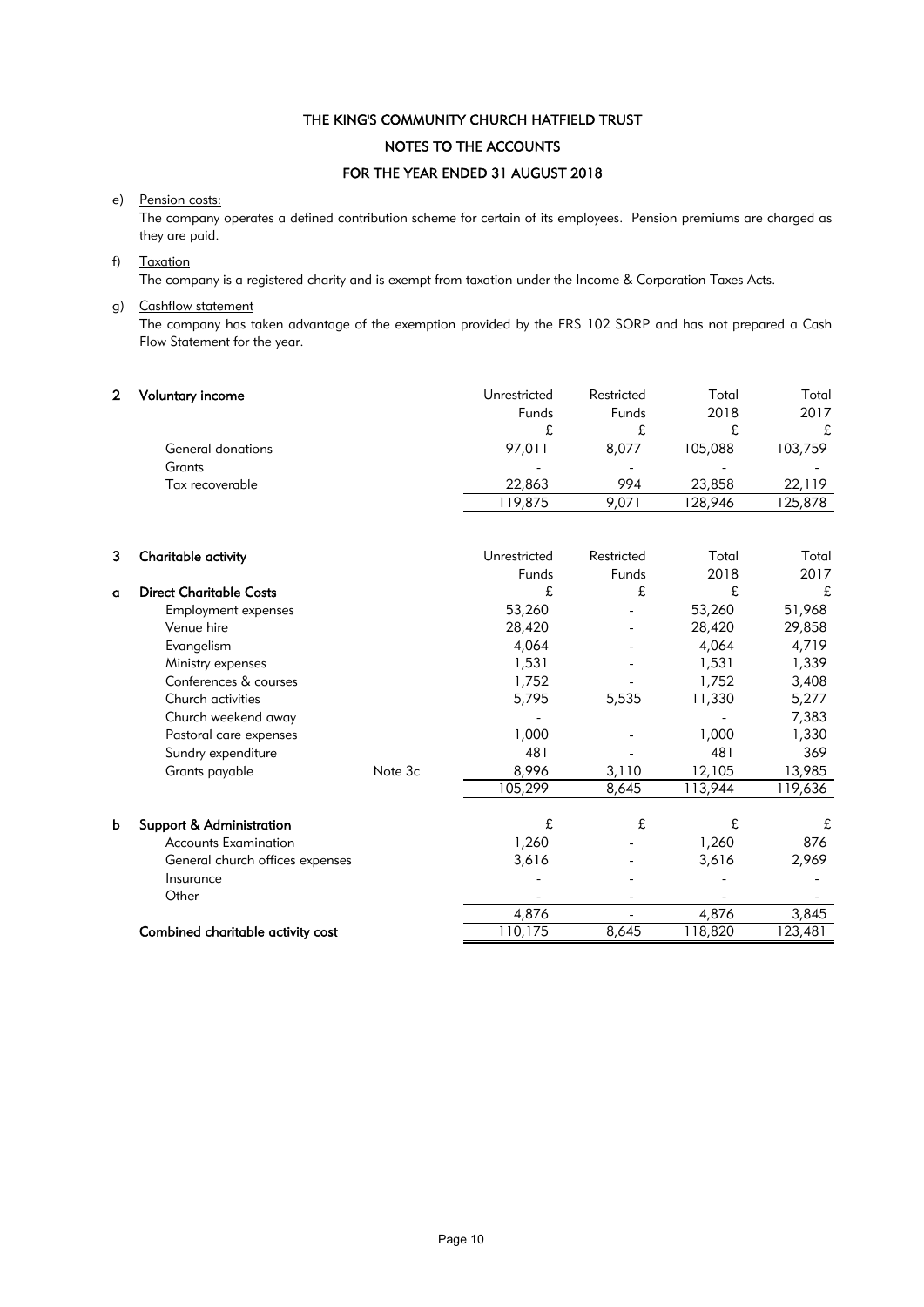## THE KING'S COMMUNITY CHURCH HATFIELD TRUST FOR THE YEAR ENDED 31 AUGUST 2018 NOTES TO THE ACCOUNTS

#### e) Pension costs:

The company operates a defined contribution scheme for certain of its employees. Pension premiums are charged as they are paid.

#### f) Taxation

The company is a registered charity and is exempt from taxation under the Income & Corporation Taxes Acts.

### g) Cashflow statement

The company has taken advantage of the exemption provided by the FRS 102 SORP and has not prepared a Cash Flow Statement for the year.

| Voluntary income  | Unrestricted<br>Funds | Restricted<br>Funds      | Total<br>2018 | Total<br>2017 |
|-------------------|-----------------------|--------------------------|---------------|---------------|
|                   | £                     |                          | t.            | £             |
| General donations | 97.011                | 8.077                    | 105,088       | 103,759       |
| Grants            |                       | $\overline{\phantom{a}}$ | -             |               |
| Tax recoverable   | 22,863                | 994                      | 23,858        | 22.119        |
|                   | 119,875               | 9.071                    | 128.946       | 125,878       |

| 3 | Charitable activity               |         | Unrestricted | Restricted | Total   | Total   |
|---|-----------------------------------|---------|--------------|------------|---------|---------|
|   |                                   |         | Funds        | Funds      | 2018    | 2017    |
| a | <b>Direct Charitable Costs</b>    |         | £            | £          | £       | £       |
|   | Employment expenses               |         | 53,260       |            | 53,260  | 51,968  |
|   | Venue hire                        |         | 28,420       |            | 28,420  | 29,858  |
|   | Evangelism                        |         | 4,064        |            | 4,064   | 4,719   |
|   | Ministry expenses                 |         | 1,531        |            | 1,531   | 1,339   |
|   | Conferences & courses             |         | 1,752        |            | 1,752   | 3,408   |
|   | Church activities                 |         | 5,795        | 5,535      | 11,330  | 5,277   |
|   | Church weekend away               |         |              |            |         | 7,383   |
|   | Pastoral care expenses            |         | 1,000        |            | 1,000   | 1,330   |
|   | Sundry expenditure                |         | 481          |            | 481     | 369     |
|   | Grants payable                    | Note 3c | 8,996        | 3,110      | 12,105  | 13,985  |
|   |                                   |         | 105,299      | 8,645      | 113,944 | 119,636 |
| b | Support & Administration          |         | £            | £          | £       | £       |
|   | <b>Accounts Examination</b>       |         | 1,260        |            | 1,260   | 876     |
|   | General church offices expenses   |         | 3,616        |            | 3,616   | 2,969   |
|   | Insurance                         |         |              |            |         |         |
|   | Other                             |         |              |            |         |         |
|   |                                   |         | 4,876        |            | 4,876   | 3,845   |
|   | Combined charitable activity cost |         | 110,175      | 8,645      | 118,820 | 123,481 |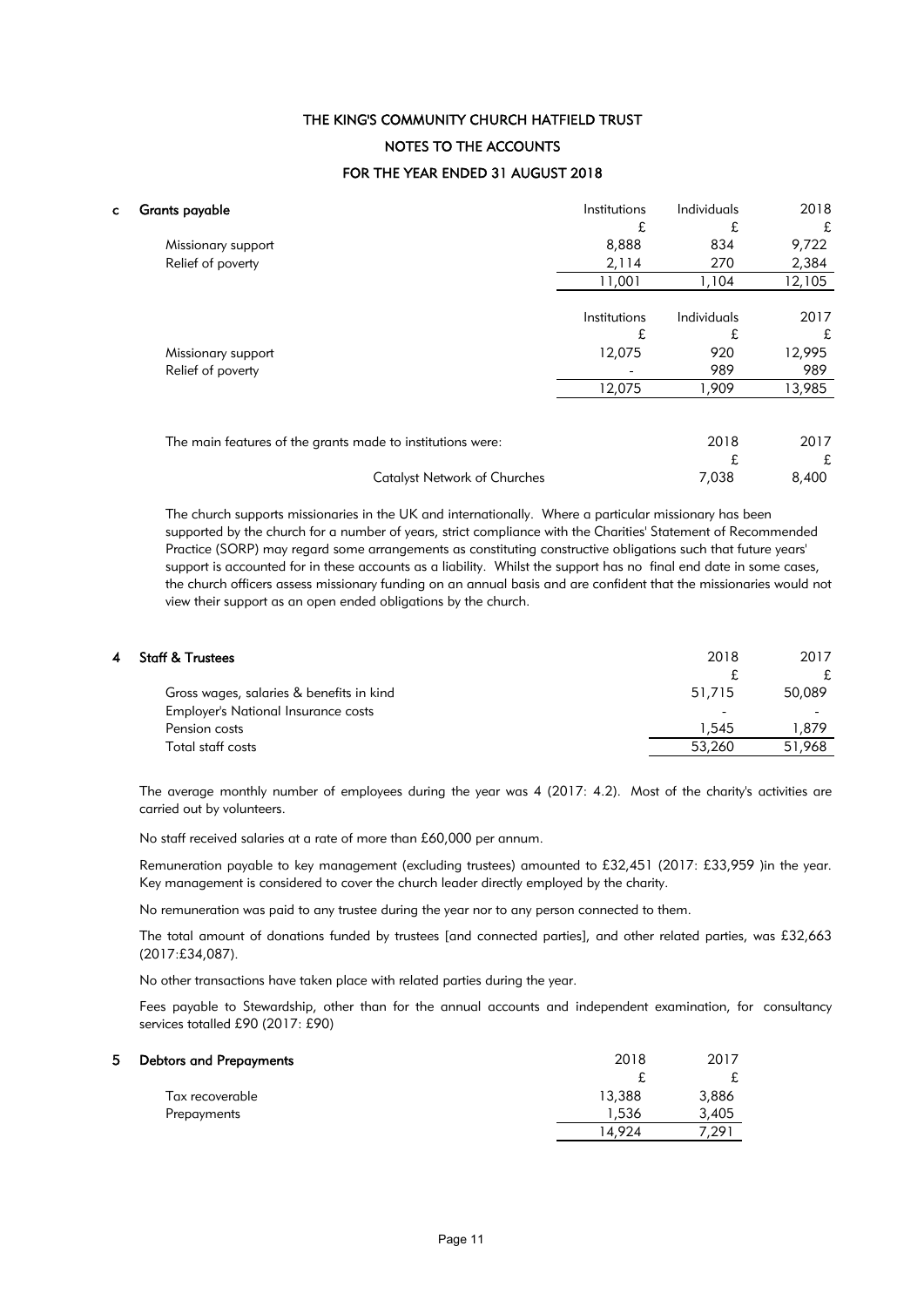## THE KING'S COMMUNITY CHURCH HATFIELD TRUST FOR THE YEAR ENDED 31 AUGUST 2018 NOTES TO THE ACCOUNTS

| C. | <b>Grants payable</b>                                      | Institutions | Individuals | 2018   |
|----|------------------------------------------------------------|--------------|-------------|--------|
|    |                                                            | £            | £           | £      |
|    | Missionary support                                         | 8,888        | 834         | 9,722  |
|    | Relief of poverty                                          | 2,114        | 270         | 2,384  |
|    |                                                            | 11,001       | 1,104       | 12,105 |
|    |                                                            | Institutions | Individuals | 2017   |
|    |                                                            | £            | £           | £      |
|    | Missionary support                                         | 12,075       | 920         | 12,995 |
|    | Relief of poverty                                          |              | 989         | 989    |
|    |                                                            | 12,075       | 1,909       | 13,985 |
|    |                                                            |              |             |        |
|    | The main features of the grants made to institutions were: |              | 2018        | 2017   |
|    |                                                            |              | £           | £      |
|    | <b>Catalyst Network of Churches</b>                        |              | 7,038       | 8,400  |

The church supports missionaries in the UK and internationally. Where a particular missionary has been supported by the church for a number of years, strict compliance with the Charities' Statement of Recommended Practice (SORP) may regard some arrangements as constituting constructive obligations such that future years' support is accounted for in these accounts as a liability. Whilst the support has no final end date in some cases, the church officers assess missionary funding on an annual basis and are confident that the missionaries would not view their support as an open ended obligations by the church.

| 4 | <b>Staff &amp; Trustees</b>              | 2018   | 2017   |
|---|------------------------------------------|--------|--------|
|   |                                          |        | £.     |
|   | Gross wages, salaries & benefits in kind | 51,715 | 50,089 |
|   | Employer's National Insurance costs      |        |        |
|   | Pension costs                            | 1.545  | 1.879  |
|   | Total staff costs                        | 53,260 | 51,968 |
|   |                                          |        |        |

The average monthly number of employees during the year was 4 (2017: 4.2). Most of the charity's activities are carried out by volunteers.

No staff received salaries at a rate of more than £60,000 per annum.

Remuneration payable to key management (excluding trustees) amounted to £32,451 (2017: £33,959 )in the year. Key management is considered to cover the church leader directly employed by the charity.

No remuneration was paid to any trustee during the year nor to any person connected to them.

The total amount of donations funded by trustees [and connected parties], and other related parties, was £32,663 (2017:£34,087).

No other transactions have taken place with related parties during the year.

Fees payable to Stewardship, other than for the annual accounts and independent examination, for consultancy services totalled £90 (2017: £90)

| <b>Debtors and Prepayments</b> | 2018   | 2017   |
|--------------------------------|--------|--------|
|                                | £      |        |
| Tax recoverable                | 13,388 | 3,886  |
| Prepayments                    | 1,536  | 3,405  |
|                                | 14.924 | 29°، ' |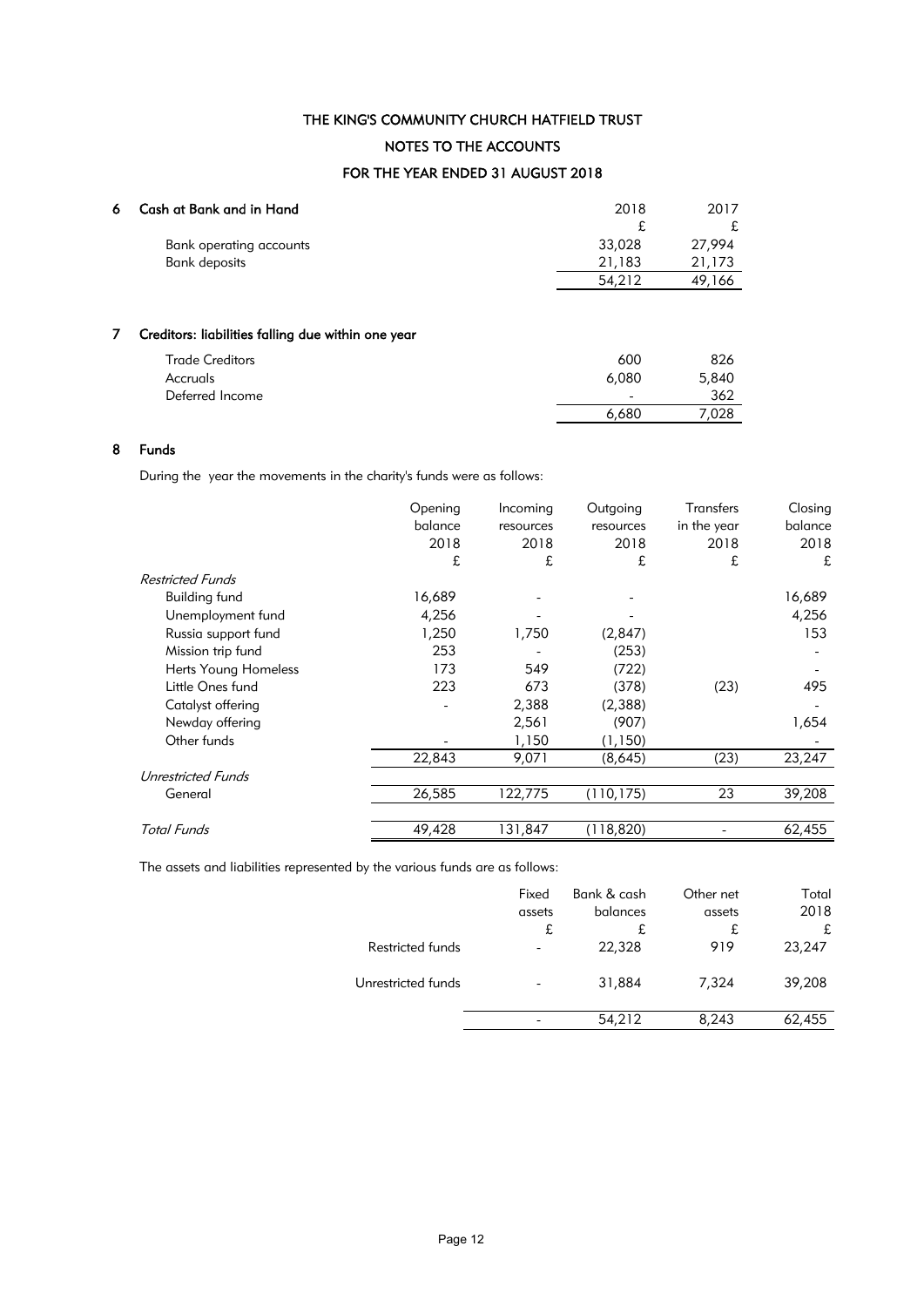## THE KING'S COMMUNITY CHURCH HATFIELD TRUST NOTES TO THE ACCOUNTS

## FOR THE YEAR ENDED 31 AUGUST 2018

| 6 | Cash at Bank and in Hand | 2018   | 2017   |
|---|--------------------------|--------|--------|
|   |                          |        |        |
|   | Bank operating accounts  | 33,028 | 27,994 |
|   | <b>Bank deposits</b>     | 21.183 | 21,173 |
|   |                          | 54,212 | 49,166 |
|   |                          |        |        |

## 7 Creditors: liabilities falling due within one year

| <b>Trade Creditors</b> | 600                      | 826   |
|------------------------|--------------------------|-------|
| Accruals               | 6,080                    | 5,840 |
| Deferred Income        | $\overline{\phantom{a}}$ | 362   |
|                        | 6,680                    | 7.028 |

#### 8 Funds

During the year the movements in the charity's funds were as follows:

|                         | Opening | Incoming  | Outgoing   | Transfers   | Closing |
|-------------------------|---------|-----------|------------|-------------|---------|
|                         | balance | resources | resources  | in the year | balance |
|                         | 2018    | 2018      | 2018       | 2018        | 2018    |
|                         | £       | £         | £          | £           | £       |
| <b>Restricted Funds</b> |         |           |            |             |         |
| <b>Building fund</b>    | 16,689  |           |            |             | 16,689  |
| Unemployment fund       | 4,256   |           |            |             | 4,256   |
| Russia support fund     | 1,250   | 1,750     | (2,847)    |             | 153     |
| Mission trip fund       | 253     |           | (253)      |             |         |
| Herts Young Homeless    | 173     | 549       | (722)      |             |         |
| Little Ones fund        | 223     | 673       | (378)      | (23)        | 495     |
| Catalyst offering       |         | 2,388     | (2,388)    |             |         |
| Newday offering         |         | 2,561     | (907)      |             | 1,654   |
| Other funds             |         | 1,150     | (1,150)    |             |         |
|                         | 22,843  | 9,071     | (8,645)    | (23)        | 23,247  |
| Unrestricted Funds      |         |           |            |             |         |
| General                 | 26,585  | 122,775   | (110, 175) | 23          | 39,208  |
|                         |         |           |            |             |         |
| <b>Total Funds</b>      | 49,428  | 131,847   | (118, 820) |             | 62,455  |

The assets and liabilities represented by the various funds are as follows:

|                    | Fixed<br>assets<br>£ | Bank & cash<br>balances<br>£ | Other net<br>assets<br>£ | Total<br>2018<br>£ |
|--------------------|----------------------|------------------------------|--------------------------|--------------------|
| Restricted funds   | $\equiv$             | 22,328                       | 919                      | 23,247             |
| Unrestricted funds |                      | 31,884                       | 7,324                    | 39,208             |
|                    |                      | 54,212                       | 8,243                    | 62,455             |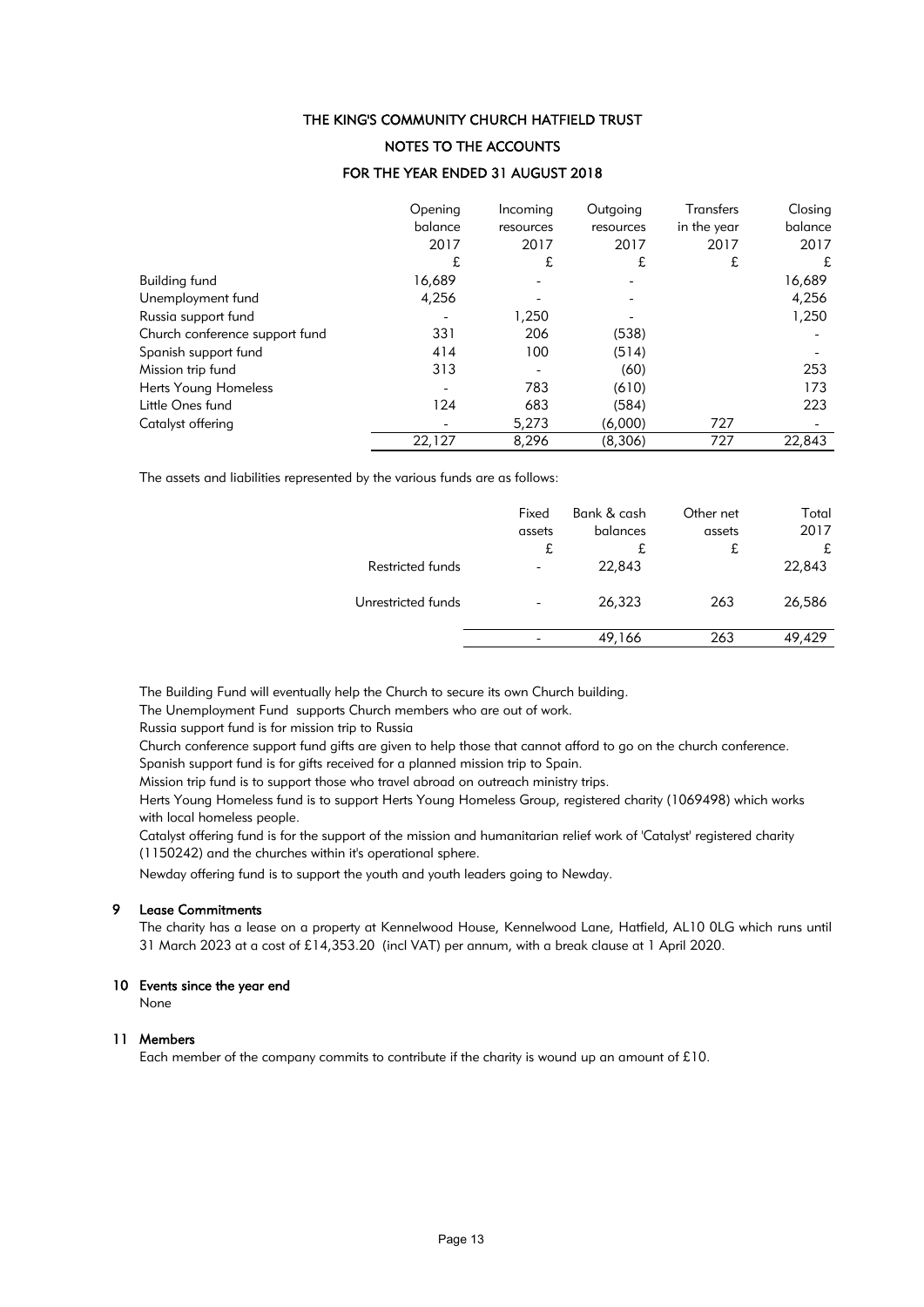### NOTES TO THE ACCOUNTS

#### FOR THE YEAR ENDED 31 AUGUST 2018

|                                | Opening<br>balance<br>2017 | Incoming<br>resources<br>2017 | Outgoing<br>resources<br>2017 | Transfers<br>in the year<br>2017 | Closing<br>balance<br>2017 |
|--------------------------------|----------------------------|-------------------------------|-------------------------------|----------------------------------|----------------------------|
|                                | £                          | £                             | £                             | £                                | £                          |
| Building fund                  | 16,689                     |                               |                               |                                  | 16,689                     |
| Unemployment fund              | 4,256                      |                               |                               |                                  | 4,256                      |
| Russia support fund            |                            | 1,250                         |                               |                                  | 1,250                      |
| Church conference support fund | 331                        | 206                           | (538)                         |                                  |                            |
| Spanish support fund           | 414                        | 100                           | (514)                         |                                  |                            |
| Mission trip fund              | 313                        |                               | (60)                          |                                  | 253                        |
| Herts Young Homeless           |                            | 783                           | (610)                         |                                  | 173                        |
| Little Ones fund               | 124                        | 683                           | (584)                         |                                  | 223                        |
| Catalyst offering              |                            | 5,273                         | (6,000)                       | 727                              |                            |
|                                | 22,127                     | 8,296                         | (8,306)                       | 727                              | 22,843                     |

The assets and liabilities represented by the various funds are as follows:

|                    | Fixed<br>assets<br>£ | Bank & cash<br>balances<br>£ | Other net<br>assets<br>£ | Total<br>2017<br>£ |
|--------------------|----------------------|------------------------------|--------------------------|--------------------|
| Restricted funds   |                      | 22,843                       |                          | 22,843             |
| Unrestricted funds |                      | 26,323                       | 263                      | 26,586             |
|                    |                      | 49,166                       | 263                      | 49.429             |

The Building Fund will eventually help the Church to secure its own Church building.

The Unemployment Fund supports Church members who are out of work.

Russia support fund is for mission trip to Russia

Church conference support fund gifts are given to help those that cannot afford to go on the church conference. Spanish support fund is for gifts received for a planned mission trip to Spain.

Mission trip fund is to support those who travel abroad on outreach ministry trips.

Herts Young Homeless fund is to support Herts Young Homeless Group, registered charity (1069498) which works with local homeless people.

Catalyst offering fund is for the support of the mission and humanitarian relief work of 'Catalyst' registered charity (1150242) and the churches within it's operational sphere.

Newday offering fund is to support the youth and youth leaders going to Newday.

#### 9 Lease Commitments

The charity has a lease on a property at Kennelwood House, Kennelwood Lane, Hatfield, AL10 0LG which runs until 31 March 2023 at a cost of £14,353.20 (incl VAT) per annum, with a break clause at 1 April 2020.

#### 10 Events since the year end

None

#### 11 Members

Each member of the company commits to contribute if the charity is wound up an amount of £10.